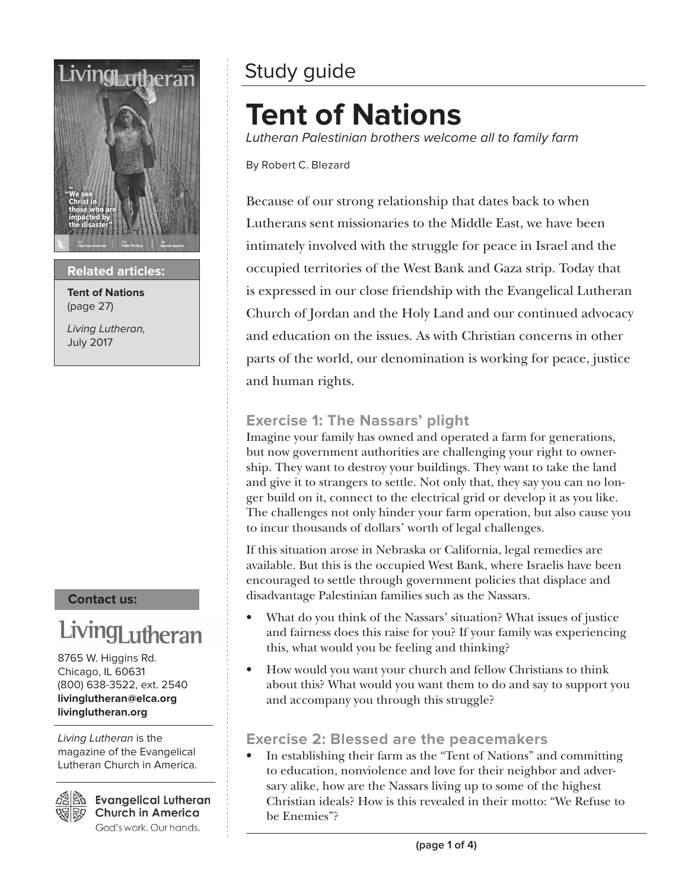

**Related articles:**

**Tent of Nations** (page 27)

Living Lutheran, July 2017

#### **Contact us:**

## LivingLutheran

8765 W. Higgins Rd. Chicago, IL 60631 (800) 638-3522, ext. 2540 **livinglutheran@elca.org livinglutheran.org**

Living Lutheran is the magazine of the Evangelical Lutheran Church in America.

Bo Evangelical Lutheran **Church in America** God's work. Our hands.

### Study guide

### **Tent of Nations**

Lutheran Palestinian brothers welcome all to family farm

By Robert C. Blezard

Because of our strong relationship that dates back to when Lutherans sent missionaries to the Middle East, we have been intimately involved with the struggle for peace in Israel and the occupied territories of the West Bank and Gaza strip. Today that is expressed in our close friendship with the Evangelical Lutheran Church of Jordan and the Holy Land and our continued advocacy and education on the issues. As with Christian concerns in other parts of the world, our denomination is working for peace, justice and human rights.

### **Exercise 1: The Nassars' plight**

Imagine your family has owned and operated a farm for generations, but now government authorities are challenging your right to ownership. They want to destroy your buildings. They want to take the land and give it to strangers to settle. Not only that, they say you can no longer build on it, connect to the electrical grid or develop it as you like. The challenges not only hinder your farm operation, but also cause you to incur thousands of dollars' worth of legal challenges.

If this situation arose in Nebraska or California, legal remedies are available. But this is the occupied West Bank, where Israelis have been encouraged to settle through government policies that displace and disadvantage Palestinian families such as the Nassars.

- What do you think of the Nassars' situation? What issues of justice and fairness does this raise for you? If your family was experiencing this, what would you be feeling and thinking?
- How would you want your church and fellow Christians to think about this? What would you want them to do and say to support you and accompany you through this struggle?

### **Exercise 2: Blessed are the peacemakers**

• In establishing their farm as the "Tent of Nations" and committing to education, nonviolence and love for their neighbor and adversary alike, how are the Nassars living up to some of the highest Christian ideals? How is this revealed in their motto: "We Refuse to be Enemies"?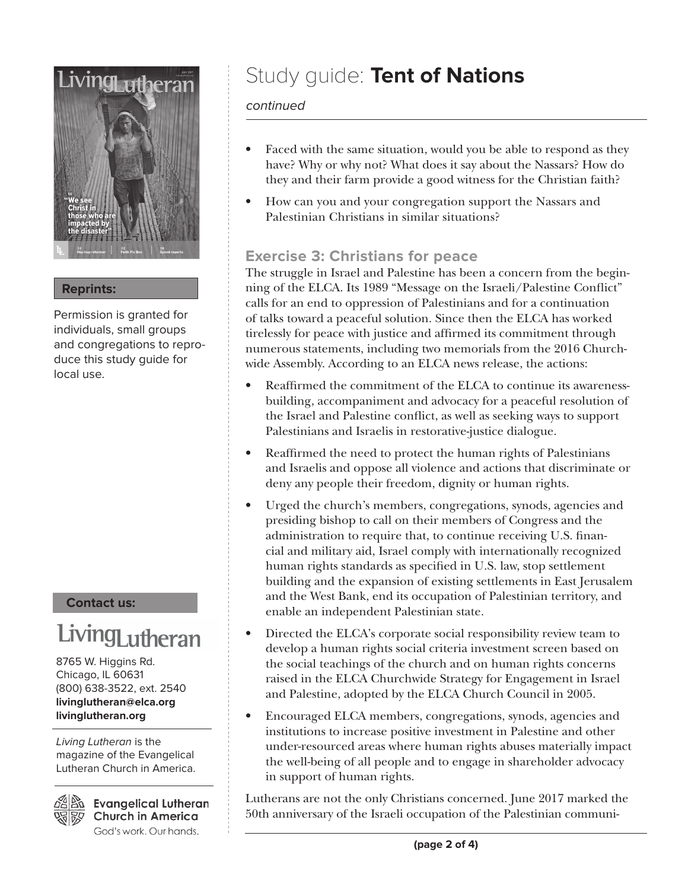

### **Reprints:**

Permission is granted for individuals, small groups and congregations to reproduce this study guide for local use.

### **Contact us:**

# LivingLutheran

8765 W. Higgins Rd. Chicago, IL 60631 (800) 638-3522, ext. 2540 **livinglutheran@elca.org livinglutheran.org**

Living Lutheran is the magazine of the Evangelical Lutheran Church in America.



**Evangelical Lutheran Church in America** God's work. Our hands.

### Study guide: **Tent of Nations**

### continued

- Faced with the same situation, would you be able to respond as they have? Why or why not? What does it say about the Nassars? How do they and their farm provide a good witness for the Christian faith?
- How can you and your congregation support the Nassars and Palestinian Christians in similar situations?

### **Exercise 3: Christians for peace**

The struggle in Israel and Palestine has been a concern from the beginning of the ELCA. Its 1989 "Message on the Israeli/Palestine Conflict" calls for an end to oppression of Palestinians and for a continuation of talks toward a peaceful solution. Since then the ELCA has worked tirelessly for peace with justice and affirmed its commitment through numerous statements, including two memorials from the 2016 Churchwide Assembly. According to an ELCA news release, the actions:

- Reaffirmed the commitment of the ELCA to continue its awarenessbuilding, accompaniment and advocacy for a peaceful resolution of the Israel and Palestine conflict, as well as seeking ways to support Palestinians and Israelis in restorative-justice dialogue.
- Reaffirmed the need to protect the human rights of Palestinians and Israelis and oppose all violence and actions that discriminate or deny any people their freedom, dignity or human rights.
- Urged the church's members, congregations, synods, agencies and presiding bishop to call on their members of Congress and the administration to require that, to continue receiving U.S. financial and military aid, Israel comply with internationally recognized human rights standards as specified in U.S. law, stop settlement building and the expansion of existing settlements in East Jerusalem and the West Bank, end its occupation of Palestinian territory, and enable an independent Palestinian state.
- Directed the ELCA's corporate social responsibility review team to develop a human rights social criteria investment screen based on the social teachings of the church and on human rights concerns raised in the ELCA Churchwide Strategy for Engagement in Israel and Palestine, adopted by the ELCA Church Council in 2005.
- Encouraged ELCA members, congregations, synods, agencies and institutions to increase positive investment in Palestine and other under-resourced areas where human rights abuses materially impact the well-being of all people and to engage in shareholder advocacy in support of human rights.

Lutherans are not the only Christians concerned. June 2017 marked the 50th anniversary of the Israeli occupation of the Palestinian communi-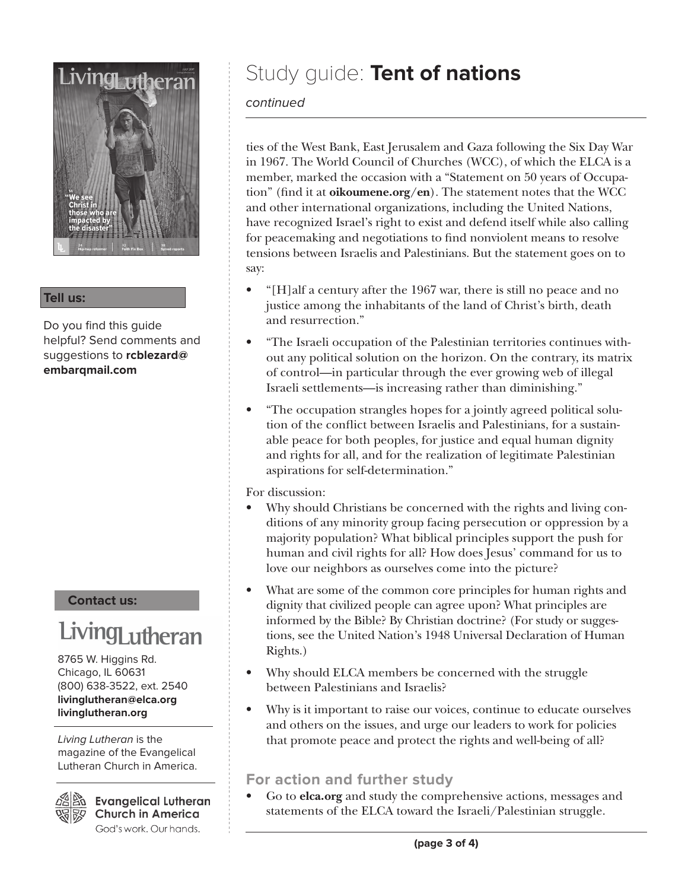

#### **Tell us:**

Do you find this guide helpful? Send comments and suggestions to **rcblezard@ embarqmail.com**

#### **Contact us:**

## LivingLutheran

8765 W. Higgins Rd. Chicago, IL 60631 (800) 638-3522, ext. 2540 **livinglutheran@elca.org livinglutheran.org**

Living Lutheran is the magazine of the Evangelical Lutheran Church in America.

 $\frac{25}{20}$  Evangelical Lutheran **Church in America** God's work. Our hands.

### Study guide: **Tent of nations**

### continued

ties of the West Bank, East Jerusalem and Gaza following the Six Day War in 1967. The World Council of Churches (WCC), of which the ELCA is a member, marked the occasion with a "Statement on 50 years of Occupation" (find it at **oikoumene.org/en**). The statement notes that the WCC and other international organizations, including the United Nations, have recognized Israel's right to exist and defend itself while also calling for peacemaking and negotiations to find nonviolent means to resolve tensions between Israelis and Palestinians. But the statement goes on to say:

- "[H]alf a century after the 1967 war, there is still no peace and no justice among the inhabitants of the land of Christ's birth, death and resurrection."
- "The Israeli occupation of the Palestinian territories continues without any political solution on the horizon. On the contrary, its matrix of control—in particular through the ever growing web of illegal Israeli settlements—is increasing rather than diminishing."
- "The occupation strangles hopes for a jointly agreed political solution of the conflict between Israelis and Palestinians, for a sustainable peace for both peoples, for justice and equal human dignity and rights for all, and for the realization of legitimate Palestinian aspirations for self-determination."

For discussion:

- Why should Christians be concerned with the rights and living conditions of any minority group facing persecution or oppression by a majority population? What biblical principles support the push for human and civil rights for all? How does Jesus' command for us to love our neighbors as ourselves come into the picture?
- What are some of the common core principles for human rights and dignity that civilized people can agree upon? What principles are informed by the Bible? By Christian doctrine? (For study or suggestions, see the United Nation's 1948 Universal Declaration of Human Rights.)
- Why should ELCA members be concerned with the struggle between Palestinians and Israelis?
- Why is it important to raise our voices, continue to educate ourselves and others on the issues, and urge our leaders to work for policies that promote peace and protect the rights and well-being of all?

### **For action and further study**

• Go to **elca.org** and study the comprehensive actions, messages and statements of the ELCA toward the Israeli/Palestinian struggle.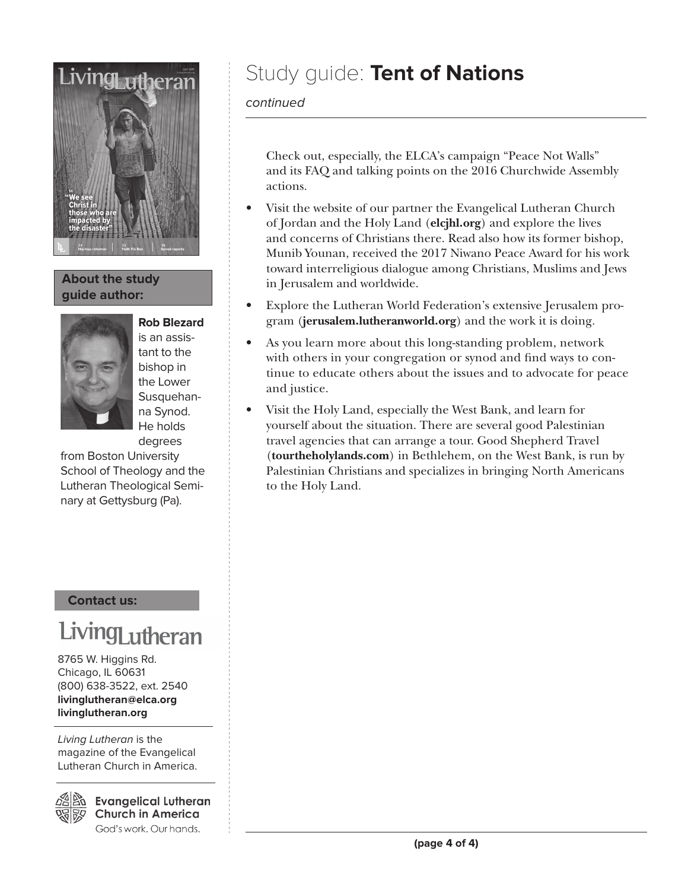

### **About the study guide author:**



is an assistant to the bishop in the Lower Susquehanna Synod. He holds degrees

from Boston University School of Theology and the Lutheran Theological Seminary at Gettysburg (Pa).

#### **Contact us:**

## Living<sub>Lutheran</sub>

8765 W. Higgins Rd. Chicago, IL 60631 (800) 638-3522, ext. 2540 **livinglutheran@elca.org livinglutheran.org**

Living Lutheran is the magazine of the Evangelical Lutheran Church in America.

Bi Evangelical Lutheran **Church in America** God's work. Our hands.

### Study guide: **Tent of Nations**

### continued

Check out, especially, the ELCA's campaign "Peace Not Walls" and its FAQ and talking points on the 2016 Churchwide Assembly actions.

- Visit the website of our partner the Evangelical Lutheran Church of Jordan and the Holy Land (**elcjhl.org**) and explore the lives and concerns of Christians there. Read also how its former bishop, Munib Younan, received the 2017 Niwano Peace Award for his work toward interreligious dialogue among Christians, Muslims and Jews in Jerusalem and worldwide.
- Explore the Lutheran World Federation's extensive Jerusalem program (**jerusalem.lutheranworld.org**) and the work it is doing.
- As you learn more about this long-standing problem, network with others in your congregation or synod and find ways to continue to educate others about the issues and to advocate for peace and justice.
- Visit the Holy Land, especially the West Bank, and learn for yourself about the situation. There are several good Palestinian travel agencies that can arrange a tour. Good Shepherd Travel (**tourtheholylands.com**) in Bethlehem, on the West Bank, is run by Palestinian Christians and specializes in bringing North Americans to the Holy Land.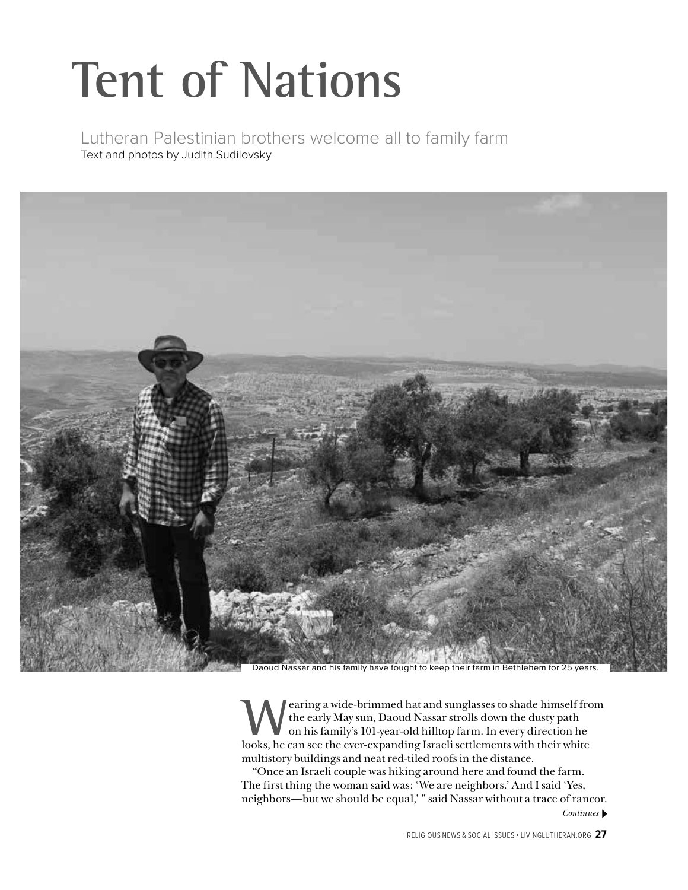# **Tent of Nations**

Lutheran Palestinian brothers welcome all to family farm Text and photos by Judith Sudilovsky



Daoud Nassar and his family have fought to keep their farm in Bethlehem for 25 years.

earing a wide-brimmed hat and sunglasses to shade himself from the early May sun, Daoud Nassar strolls down the dusty path on his family's 101-year-old hilltop farm. In every direction he looks, he can see the ever-expanding Israeli settlements with their white multistory buildings and neat red-tiled roofs in the distance.

"Once an Israeli couple was hiking around here and found the farm. The first thing the woman said was: 'We are neighbors.' And I said 'Yes, neighbors—but we should be equal,' " said Nassar without a trace of rancor. *Continues*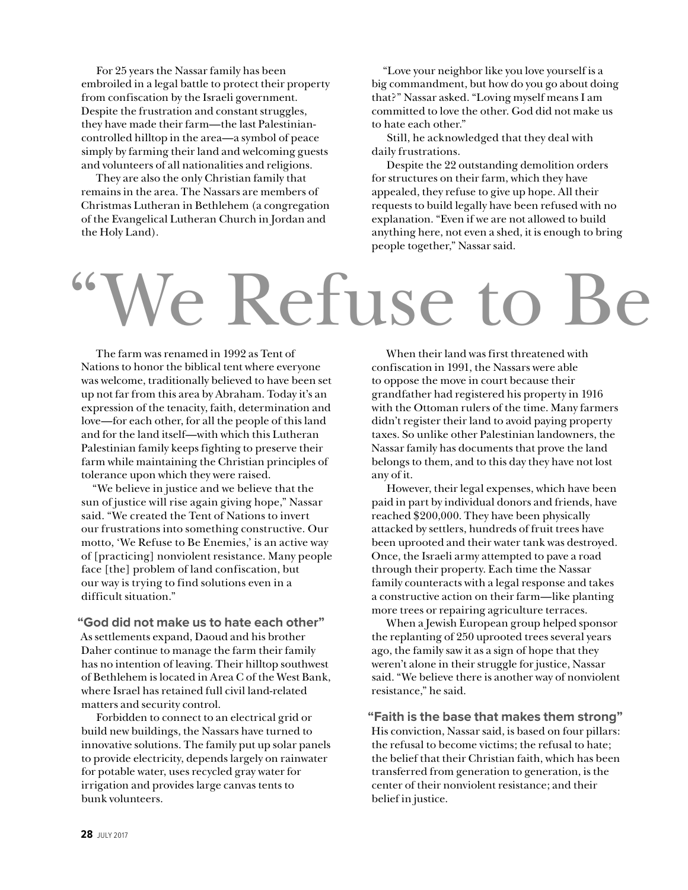For 25 years the Nassar family has been embroiled in a legal battle to protect their property from confiscation by the Israeli government. Despite the frustration and constant struggles, they have made their farm—the last Palestiniancontrolled hilltop in the area—a symbol of peace simply by farming their land and welcoming guests and volunteers of all nationalities and religions.

They are also the only Christian family that remains in the area. The Nassars are members of Christmas Lutheran in Bethlehem (a congregation of the Evangelical Lutheran Church in Jordan and the Holy Land).

"Love your neighbor like you love yourself is a big commandment, but how do you go about doing that?" Nassar asked. "Loving myself means I am committed to love the other. God did not make us to hate each other."

Still, he acknowledged that they deal with daily frustrations.

Despite the 22 outstanding demolition orders for structures on their farm, which they have appealed, they refuse to give up hope. All their requests to build legally have been refused with no explanation. "Even if we are not allowed to build anything here, not even a shed, it is enough to bring people together," Nassar said.

# Ve Refuse to

The farm was renamed in 1992 as Tent of Nations to honor the biblical tent where everyone was welcome, traditionally believed to have been set up not far from this area by Abraham. Today it's an expression of the tenacity, faith, determination and love—for each other, for all the people of this land and for the land itself—with which this Lutheran Palestinian family keeps fighting to preserve their farm while maintaining the Christian principles of tolerance upon which they were raised.

"We believe in justice and we believe that the sun of justice will rise again giving hope," Nassar said. "We created the Tent of Nations to invert our frustrations into something constructive. Our motto, 'We Refuse to Be Enemies,' is an active way of [practicing] nonviolent resistance. Many people face [the] problem of land confiscation, but our way is trying to find solutions even in a difficult situation."

**"God did not make us to hate each other"** As settlements expand, Daoud and his brother Daher continue to manage the farm their family has no intention of leaving. Their hilltop southwest of Bethlehem is located in Area C of the West Bank, where Israel has retained full civil land-related matters and security control.

Forbidden to connect to an electrical grid or build new buildings, the Nassars have turned to innovative solutions. The family put up solar panels to provide electricity, depends largely on rainwater for potable water, uses recycled gray water for irrigation and provides large canvas tents to bunk volunteers.

When their land was first threatened with confiscation in 1991, the Nassars were able to oppose the move in court because their grandfather had registered his property in 1916 with the Ottoman rulers of the time. Many farmers didn't register their land to avoid paying property taxes. So unlike other Palestinian landowners, the Nassar family has documents that prove the land belongs to them, and to this day they have not lost any of it.

However, their legal expenses, which have been paid in part by individual donors and friends, have reached \$200,000. They have been physically attacked by settlers, hundreds of fruit trees have been uprooted and their water tank was destroyed. Once, the Israeli army attempted to pave a road through their property. Each time the Nassar family counteracts with a legal response and takes a constructive action on their farm—like planting more trees or repairing agriculture terraces.

When a Jewish European group helped sponsor the replanting of 250 uprooted trees several years ago, the family saw it as a sign of hope that they weren't alone in their struggle for justice, Nassar said. "We believe there is another way of nonviolent resistance," he said.

**"Faith is the base that makes them strong"** His conviction, Nassar said, is based on four pillars: the refusal to become victims; the refusal to hate; the belief that their Christian faith, which has been transferred from generation to generation, is the center of their nonviolent resistance; and their belief in justice.